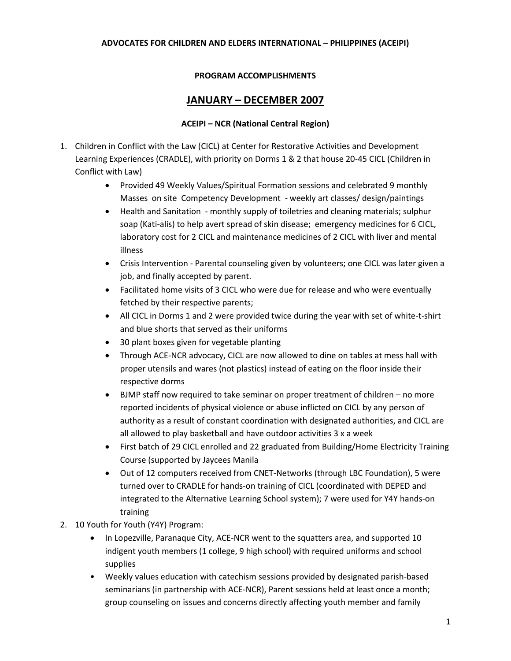### **ADVOCATES FOR CHILDREN AND ELDERS INTERNATIONAL – PHILIPPINES (ACEIPI)**

### **PROGRAM ACCOMPLISHMENTS**

## **JANUARY – DECEMBER 2007**

### **ACEIPI – NCR (National Central Region)**

- 1. Children in Conflict with the Law (CICL) at Center for Restorative Activities and Development Learning Experiences (CRADLE), with priority on Dorms 1 & 2 that house 20-45 CICL (Children in Conflict with Law)
	- Provided 49 Weekly Values/Spiritual Formation sessions and celebrated 9 monthly Masses on site Competency Development - weekly art classes/ design/paintings
	- Health and Sanitation monthly supply of toiletries and cleaning materials; sulphur soap (Kati-alis) to help avert spread of skin disease; emergency medicines for 6 CICL, laboratory cost for 2 CICL and maintenance medicines of 2 CICL with liver and mental illness
	- Crisis Intervention Parental counseling given by volunteers; one CICL was later given a job, and finally accepted by parent.
	- Facilitated home visits of 3 CICL who were due for release and who were eventually fetched by their respective parents;
	- All CICL in Dorms 1 and 2 were provided twice during the year with set of white-t-shirt and blue shorts that served as their uniforms
	- 30 plant boxes given for vegetable planting
	- Through ACE-NCR advocacy, CICL are now allowed to dine on tables at mess hall with proper utensils and wares (not plastics) instead of eating on the floor inside their respective dorms
	- BJMP staff now required to take seminar on proper treatment of children no more reported incidents of physical violence or abuse inflicted on CICL by any person of authority as a result of constant coordination with designated authorities, and CICL are all allowed to play basketball and have outdoor activities 3 x a week
	- First batch of 29 CICL enrolled and 22 graduated from Building/Home Electricity Training Course (supported by Jaycees Manila
	- Out of 12 computers received from CNET-Networks (through LBC Foundation), 5 were turned over to CRADLE for hands-on training of CICL (coordinated with DEPED and integrated to the Alternative Learning School system); 7 were used for Y4Y hands-on training
- 2. 10 Youth for Youth (Y4Y) Program:
	- In Lopezville, Paranaque City, ACE-NCR went to the squatters area, and supported 10 indigent youth members (1 college, 9 high school) with required uniforms and school supplies
	- Weekly values education with catechism sessions provided by designated parish-based seminarians (in partnership with ACE-NCR), Parent sessions held at least once a month; group counseling on issues and concerns directly affecting youth member and family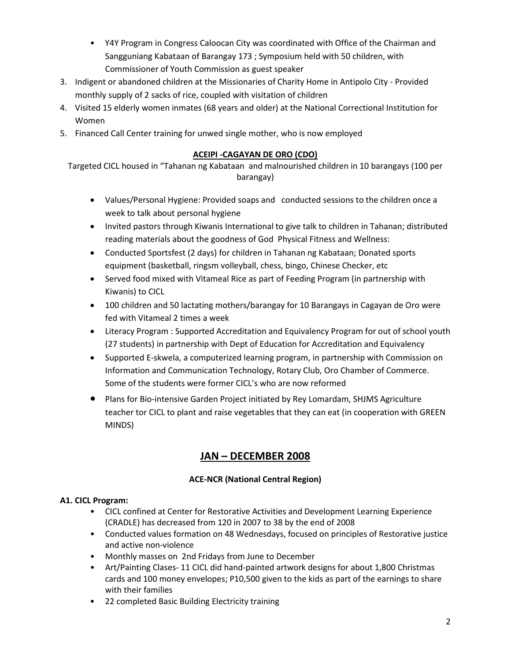- Y4Y Program in Congress Caloocan City was coordinated with Office of the Chairman and Sangguniang Kabataan of Barangay 173 ; Symposium held with 50 children, with Commissioner of Youth Commission as guest speaker
- 3. Indigent or abandoned children at the Missionaries of Charity Home in Antipolo City Provided monthly supply of 2 sacks of rice, coupled with visitation of children
- 4. Visited 15 elderly women inmates (68 years and older) at the National Correctional Institution for Women
- 5. Financed Call Center training for unwed single mother, who is now employed

## **ACEIPI -CAGAYAN DE ORO (CDO)**

Targeted CICL housed in "Tahanan ng Kabataan and malnourished children in 10 barangays (100 per barangay)

- Values/Personal Hygiene: Provided soaps and conducted sessions to the children once a week to talk about personal hygiene
- Invited pastors through Kiwanis International to give talk to children in Tahanan; distributed reading materials about the goodness of God Physical Fitness and Wellness:
- Conducted Sportsfest (2 days) for children in Tahanan ng Kabataan; Donated sports equipment (basketball, ringsm volleyball, chess, bingo, Chinese Checker, etc
- Served food mixed with Vitameal Rice as part of Feeding Program (in partnership with Kiwanis) to CICL
- 100 children and 50 lactating mothers/barangay for 10 Barangays in Cagayan de Oro were fed with Vitameal 2 times a week
- Literacy Program : Supported Accreditation and Equivalency Program for out of school youth (27 students) in partnership with Dept of Education for Accreditation and Equivalency
- Supported E-skwela, a computerized learning program, in partnership with Commission on Information and Communication Technology, Rotary Club, Oro Chamber of Commerce. Some of the students were former CICL's who are now reformed
- Plans for Bio-intensive Garden Project initiated by Rey Lomardam, SHJMS Agriculture teacher tor CICL to plant and raise vegetables that they can eat (in cooperation with GREEN MINDS)

# **JAN – DECEMBER 2008**

## **ACE-NCR (National Central Region)**

## **A1. CICL Program:**

- CICL confined at Center for Restorative Activities and Development Learning Experience (CRADLE) has decreased from 120 in 2007 to 38 by the end of 2008
- Conducted values formation on 48 Wednesdays, focused on principles of Restorative justice and active non-violence
- Monthly masses on 2nd Fridays from June to December
- Art/Painting Clases- 11 CICL did hand-painted artwork designs for about 1,800 Christmas cards and 100 money envelopes; P10,500 given to the kids as part of the earnings to share with their families
- 22 completed Basic Building Electricity training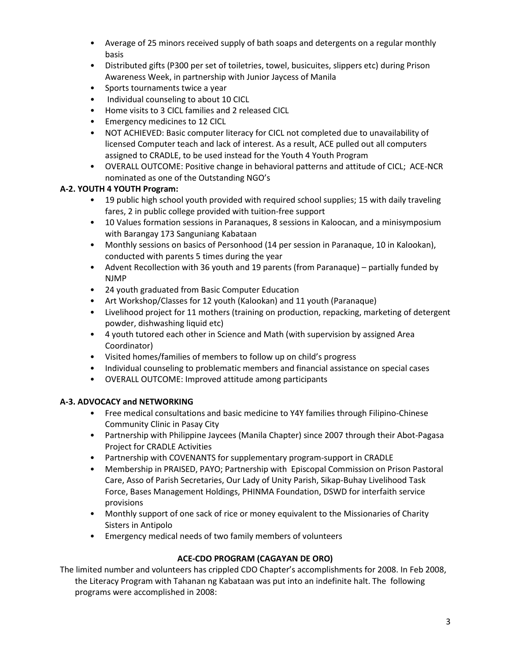- Average of 25 minors received supply of bath soaps and detergents on a regular monthly basis
- Distributed gifts (P300 per set of toiletries, towel, busicuites, slippers etc) during Prison Awareness Week, in partnership with Junior Jaycess of Manila
- Sports tournaments twice a year
- Individual counseling to about 10 CICL
- Home visits to 3 CICL families and 2 released CICL
- Emergency medicines to 12 CICL
- NOT ACHIEVED: Basic computer literacy for CICL not completed due to unavailability of licensed Computer teach and lack of interest. As a result, ACE pulled out all computers assigned to CRADLE, to be used instead for the Youth 4 Youth Program
- OVERALL OUTCOME: Positive change in behavioral patterns and attitude of CICL; ACE-NCR nominated as one of the Outstanding NGO's

## **A-2. YOUTH 4 YOUTH Program:**

- 19 public high school youth provided with required school supplies; 15 with daily traveling fares, 2 in public college provided with tuition-free support
- 10 Values formation sessions in Paranaques, 8 sessions in Kaloocan, and a minisymposium with Barangay 173 Sanguniang Kabataan
- Monthly sessions on basics of Personhood (14 per session in Paranaque, 10 in Kalookan), conducted with parents 5 times during the year
- Advent Recollection with 36 youth and 19 parents (from Paranaque) partially funded by NJMP
- 24 youth graduated from Basic Computer Education
- Art Workshop/Classes for 12 youth (Kalookan) and 11 youth (Paranaque)
- Livelihood project for 11 mothers (training on production, repacking, marketing of detergent powder, dishwashing liquid etc)
- 4 youth tutored each other in Science and Math (with supervision by assigned Area Coordinator)
- Visited homes/families of members to follow up on child's progress
- Individual counseling to problematic members and financial assistance on special cases
- OVERALL OUTCOME: Improved attitude among participants

## **A-3. ADVOCACY and NETWORKING**

- Free medical consultations and basic medicine to Y4Y families through Filipino-Chinese Community Clinic in Pasay City
- Partnership with Philippine Jaycees (Manila Chapter) since 2007 through their Abot-Pagasa Project for CRADLE Activities
- Partnership with COVENANTS for supplementary program-support in CRADLE
- Membership in PRAISED, PAYO; Partnership with Episcopal Commission on Prison Pastoral Care, Asso of Parish Secretaries, Our Lady of Unity Parish, Sikap-Buhay Livelihood Task Force, Bases Management Holdings, PHINMA Foundation, DSWD for interfaith service provisions
- Monthly support of one sack of rice or money equivalent to the Missionaries of Charity Sisters in Antipolo
- Emergency medical needs of two family members of volunteers

### **ACE-CDO PROGRAM (CAGAYAN DE ORO)**

The limited number and volunteers has crippled CDO Chapter's accomplishments for 2008. In Feb 2008, the Literacy Program with Tahanan ng Kabataan was put into an indefinite halt. The following programs were accomplished in 2008: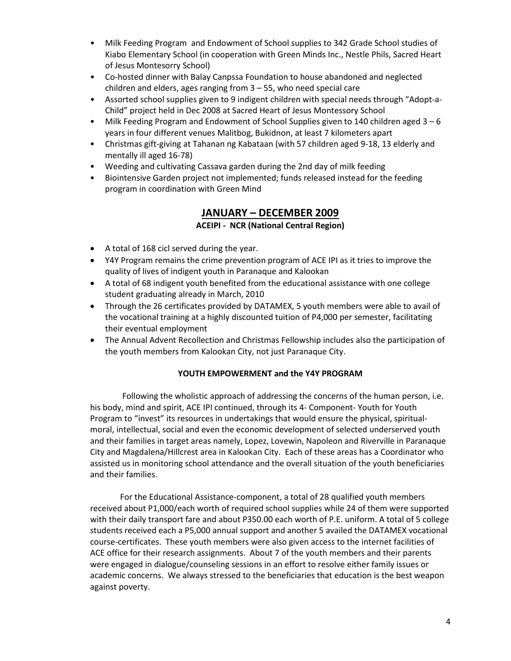- Milk Feeding Program and Endowment of School supplies to 342 Grade School studies of Kiabo Elementary School (in cooperation with Green Minds Inc., Nestle Phils, Sacred Heart of Jesus Montesorry School)
- Co-hosted dinner with Balay Canpssa Foundation to house abandoned and neglected children and elders, ages ranging from 3 – 55, who need special care
- Assorted school supplies given to 9 indigent children with special needs through "Adopt-a-Child" project held in Dec 2008 at Sacred Heart of Jesus Montessory School
- Milk Feeding Program and Endowment of School Supplies given to 140 children aged 3 6 years in four different venues Malitbog, Bukidnon, at least 7 kilometers apart
- Christmas gift-giving at Tahanan ng Kabataan (with 57 children aged 9-18, 13 elderly and mentally ill aged 16-78)
- Weeding and cultivating Cassava garden during the 2nd day of milk feeding
- Biointensive Garden project not implemented; funds released instead for the feeding program in coordination with Green Mind

## **JANUARY – DECEMBER 2009 ACEIPI - NCR (National Central Region)**

- A total of 168 cicl served during the year.
- Y4Y Program remains the crime prevention program of ACE IPI as it tries to improve the quality of lives of indigent youth in Paranaque and Kalookan
- A total of 68 indigent youth benefited from the educational assistance with one college student graduating already in March, 2010
- Through the 26 certificates provided by DATAMEX, 5 youth members were able to avail of the vocational training at a highly discounted tuition of P4,000 per semester, facilitating their eventual employment
- The Annual Advent Recollection and Christmas Fellowship includes also the participation of the youth members from Kalookan City, not just Paranaque City.

## **YOUTH EMPOWERMENT and the Y4Y PROGRAM**

Following the wholistic approach of addressing the concerns of the human person, i.e. his body, mind and spirit, ACE IPI continued, through its 4- Component- Youth for Youth Program to "invest" its resources in undertakings that would ensure the physical, spiritualmoral, intellectual, social and even the economic development of selected underserved youth and their families in target areas namely, Lopez, Lovewin, Napoleon and Riverville in Paranaque City and Magdalena/Hillcrest area in Kalookan City. Each of these areas has a Coordinator who assisted us in monitoring school attendance and the overall situation of the youth beneficiaries and their families.

For the Educational Assistance-component, a total of 28 qualified youth members received about P1,000/each worth of required school supplies while 24 of them were supported with their daily transport fare and about P350.00 each worth of P.E. uniform. A total of 5 college students received each a P5,000 annual support and another 5 availed the DATAMEX vocational course-certificates. These youth members were also given access to the internet facilities of ACE office for their research assignments. About 7 of the youth members and their parents were engaged in dialogue/counseling sessions in an effort to resolve either family issues or academic concerns. We always stressed to the beneficiaries that education is the best weapon against poverty.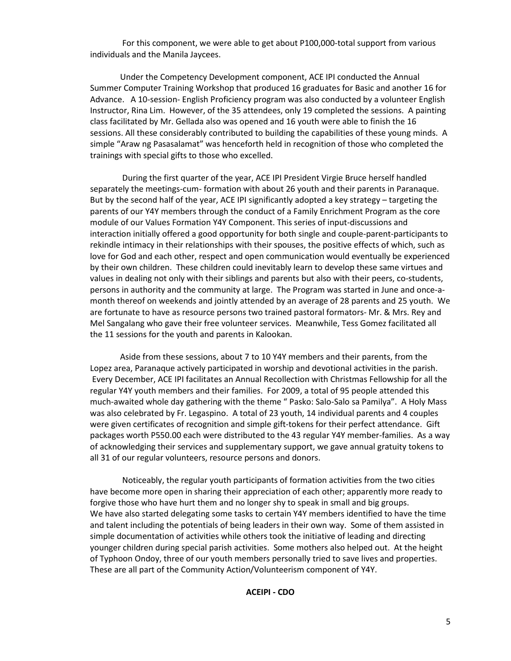For this component, we were able to get about P100,000-total support from various individuals and the Manila Jaycees.

Under the Competency Development component, ACE IPI conducted the Annual Summer Computer Training Workshop that produced 16 graduates for Basic and another 16 for Advance. A 10-session- English Proficiency program was also conducted by a volunteer English Instructor, Rina Lim. However, of the 35 attendees, only 19 completed the sessions. A painting class facilitated by Mr. Gellada also was opened and 16 youth were able to finish the 16 sessions. All these considerably contributed to building the capabilities of these young minds. A simple "Araw ng Pasasalamat" was henceforth held in recognition of those who completed the trainings with special gifts to those who excelled.

During the first quarter of the year, ACE IPI President Virgie Bruce herself handled separately the meetings-cum- formation with about 26 youth and their parents in Paranaque. But by the second half of the year, ACE IPI significantly adopted a key strategy – targeting the parents of our Y4Y members through the conduct of a Family Enrichment Program as the core module of our Values Formation Y4Y Component. This series of input-discussions and interaction initially offered a good opportunity for both single and couple-parent-participants to rekindle intimacy in their relationships with their spouses, the positive effects of which, such as love for God and each other, respect and open communication would eventually be experienced by their own children. These children could inevitably learn to develop these same virtues and values in dealing not only with their siblings and parents but also with their peers, co-students, persons in authority and the community at large. The Program was started in June and once-amonth thereof on weekends and jointly attended by an average of 28 parents and 25 youth. We are fortunate to have as resource persons two trained pastoral formators- Mr. & Mrs. Rey and Mel Sangalang who gave their free volunteer services. Meanwhile, Tess Gomez facilitated all the 11 sessions for the youth and parents in Kalookan.

Aside from these sessions, about 7 to 10 Y4Y members and their parents, from the Lopez area, Paranaque actively participated in worship and devotional activities in the parish. Every December, ACE IPI facilitates an Annual Recollection with Christmas Fellowship for all the regular Y4Y youth members and their families. For 2009, a total of 95 people attended this much-awaited whole day gathering with the theme " Pasko: Salo-Salo sa Pamilya". A Holy Mass was also celebrated by Fr. Legaspino. A total of 23 youth, 14 individual parents and 4 couples were given certificates of recognition and simple gift-tokens for their perfect attendance. Gift packages worth P550.00 each were distributed to the 43 regular Y4Y member-families. As a way of acknowledging their services and supplementary support, we gave annual gratuity tokens to all 31 of our regular volunteers, resource persons and donors.

Noticeably, the regular youth participants of formation activities from the two cities have become more open in sharing their appreciation of each other; apparently more ready to forgive those who have hurt them and no longer shy to speak in small and big groups. We have also started delegating some tasks to certain Y4Y members identified to have the time and talent including the potentials of being leaders in their own way. Some of them assisted in simple documentation of activities while others took the initiative of leading and directing younger children during special parish activities. Some mothers also helped out. At the height of Typhoon Ondoy, three of our youth members personally tried to save lives and properties. These are all part of the Community Action/Volunteerism component of Y4Y.

**ACEIPI - CDO**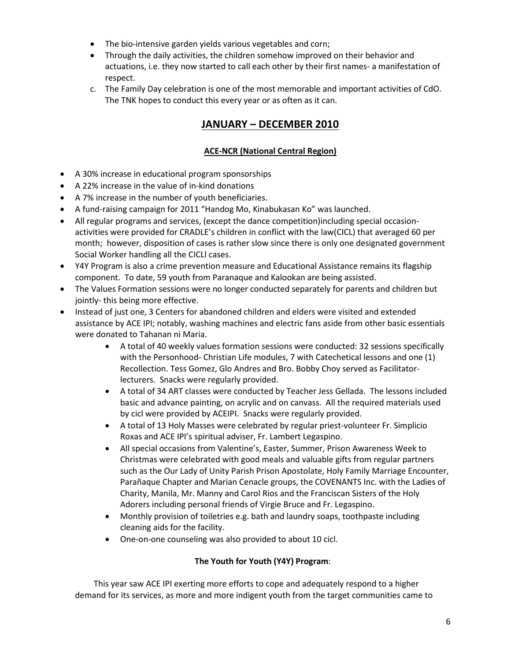- The bio-intensive garden yields various vegetables and corn;
- Through the daily activities, the children somehow improved on their behavior and actuations, i.e. they now started to call each other by their first names- a manifestation of respect.
- c. The Family Day celebration is one of the most memorable and important activities of CdO. The TNK hopes to conduct this every year or as often as it can.

## **JANUARY – DECEMBER 2010**

## **ACE-NCR (National Central Region)**

- A 30% increase in educational program sponsorships
- A 22% increase in the value of in-kind donations
- A 7% increase in the number of youth beneficiaries.
- A fund-raising campaign for 2011 "Handog Mo, Kinabukasan Ko" was launched.
- All regular programs and services, (except the dance competition)including special occasionactivities were provided for CRADLE's children in conflict with the law(CICL) that averaged 60 per month; however, disposition of cases is rather slow since there is only one designated government Social Worker handling all the CICLl cases.
- Y4Y Program is also a crime prevention measure and Educational Assistance remains its flagship component. To date, 59 youth from Paranaque and Kalookan are being assisted.
- The Values Formation sessions were no longer conducted separately for parents and children but jointly- this being more effective.
- Instead of just one, 3 Centers for abandoned children and elders were visited and extended assistance by ACE IPI; notably, washing machines and electric fans aside from other basic essentials were donated to Tahanan ni Maria.
	- A total of 40 weekly values formation sessions were conducted: 32 sessions specifically with the Personhood- Christian Life modules, 7 with Catechetical lessons and one (1) Recollection. Tess Gomez, Glo Andres and Bro. Bobby Choy served as Facilitatorlecturers. Snacks were regularly provided.
	- A total of 34 ART classes were conducted by Teacher Jess Gellada. The lessons included basic and advance painting, on acrylic and on canvass. All the required materials used by cicl were provided by ACEIPI. Snacks were regularly provided.
	- A total of 13 Holy Masses were celebrated by regular priest-volunteer Fr. Simplicio Roxas and ACE IPI's spiritual adviser, Fr. Lambert Legaspino.
	- All special occasions from Valentine's, Easter, Summer, Prison Awareness Week to Christmas were celebrated with good meals and valuable gifts from regular partners such as the Our Lady of Unity Parish Prison Apostolate, Holy Family Marriage Encounter, Parañaque Chapter and Marian Cenacle groups, the COVENANTS Inc. with the Ladies of Charity, Manila, Mr. Manny and Carol Rios and the Franciscan Sisters of the Holy Adorers including personal friends of Virgie Bruce and Fr. Legaspino.
	- Monthly provision of toiletries e.g. bath and laundry soaps, toothpaste including cleaning aids for the facility.
	- One-on-one counseling was also provided to about 10 cicl.

## **The Youth for Youth (Y4Y) Program**:

 This year saw ACE IPI exerting more efforts to cope and adequately respond to a higher demand for its services, as more and more indigent youth from the target communities came to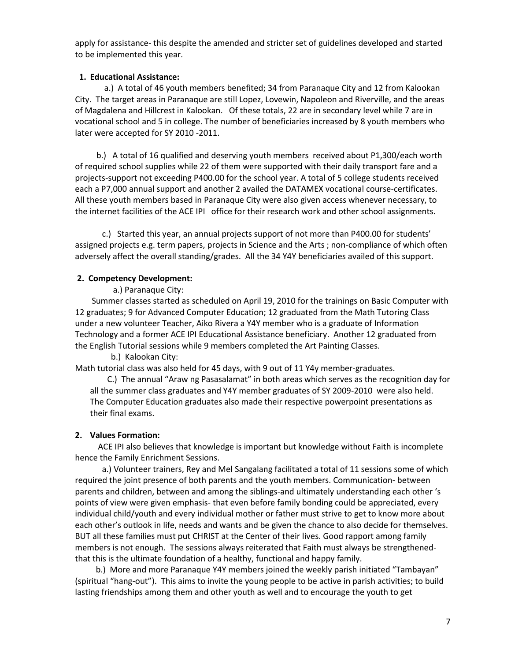apply for assistance- this despite the amended and stricter set of guidelines developed and started to be implemented this year.

### **1. Educational Assistance:**

 a.) A total of 46 youth members benefited; 34 from Paranaque City and 12 from Kalookan City. The target areas in Paranaque are still Lopez, Lovewin, Napoleon and Riverville, and the areas of Magdalena and Hillcrest in Kalookan. Of these totals, 22 are in secondary level while 7 are in vocational school and 5 in college. The number of beneficiaries increased by 8 youth members who later were accepted for SY 2010 -2011.

 b.) A total of 16 qualified and deserving youth members received about P1,300/each worth of required school supplies while 22 of them were supported with their daily transport fare and a projects-support not exceeding P400.00 for the school year. A total of 5 college students received each a P7,000 annual support and another 2 availed the DATAMEX vocational course-certificates. All these youth members based in Paranaque City were also given access whenever necessary, to the internet facilities of the ACE IPI office for their research work and other school assignments.

 c.) Started this year, an annual projects support of not more than P400.00 for students' assigned projects e.g. term papers, projects in Science and the Arts ; non-compliance of which often adversely affect the overall standing/grades. All the 34 Y4Y beneficiaries availed of this support.

### **2. Competency Development:**

a.) Paranaque City:

 Summer classes started as scheduled on April 19, 2010 for the trainings on Basic Computer with 12 graduates; 9 for Advanced Computer Education; 12 graduated from the Math Tutoring Class under a new volunteer Teacher, Aiko Rivera a Y4Y member who is a graduate of Information Technology and a former ACE IPI Educational Assistance beneficiary. Another 12 graduated from the English Tutorial sessions while 9 members completed the Art Painting Classes.

b.) Kalookan City:

Math tutorial class was also held for 45 days, with 9 out of 11 Y4y member-graduates.

C.) The annual "Araw ng Pasasalamat" in both areas which serves as the recognition day for all the summer class graduates and Y4Y member graduates of SY 2009-2010 were also held. The Computer Education graduates also made their respective powerpoint presentations as their final exams.

#### **2. Values Formation:**

 ACE IPI also believes that knowledge is important but knowledge without Faith is incomplete hence the Family Enrichment Sessions.

 a.) Volunteer trainers, Rey and Mel Sangalang facilitated a total of 11 sessions some of which required the joint presence of both parents and the youth members. Communication- between parents and children, between and among the siblings-and ultimately understanding each other 's points of view were given emphasis- that even before family bonding could be appreciated, every individual child/youth and every individual mother or father must strive to get to know more about each other's outlook in life, needs and wants and be given the chance to also decide for themselves. BUT all these families must put CHRIST at the Center of their lives. Good rapport among family members is not enough. The sessions always reiterated that Faith must always be strengthenedthat this is the ultimate foundation of a healthy, functional and happy family.

 b.) More and more Paranaque Y4Y members joined the weekly parish initiated "Tambayan" (spiritual "hang-out"). This aims to invite the young people to be active in parish activities; to build lasting friendships among them and other youth as well and to encourage the youth to get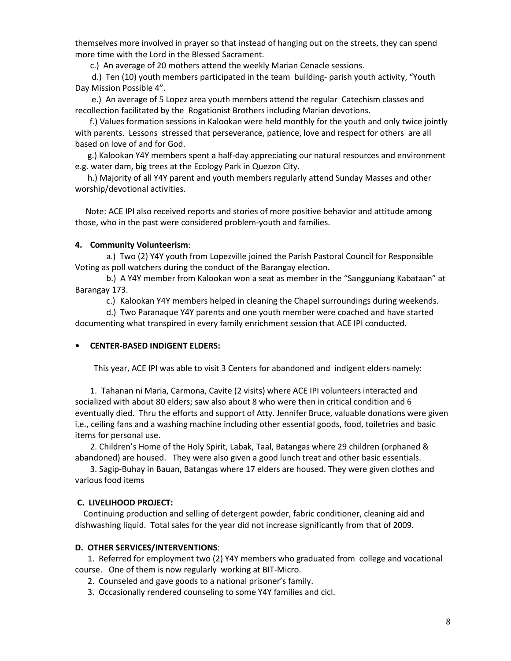themselves more involved in prayer so that instead of hanging out on the streets, they can spend more time with the Lord in the Blessed Sacrament.

c.) An average of 20 mothers attend the weekly Marian Cenacle sessions.

 d.) Ten (10) youth members participated in the team building- parish youth activity, "Youth Day Mission Possible 4".

 e.) An average of 5 Lopez area youth members attend the regular Catechism classes and recollection facilitated by the Rogationist Brothers including Marian devotions.

 f.) Values formation sessions in Kalookan were held monthly for the youth and only twice jointly with parents. Lessons stressed that perseverance, patience, love and respect for others are all based on love of and for God.

 g.) Kalookan Y4Y members spent a half-day appreciating our natural resources and environment e.g. water dam, big trees at the Ecology Park in Quezon City.

 h.) Majority of all Y4Y parent and youth members regularly attend Sunday Masses and other worship/devotional activities.

 Note: ACE IPI also received reports and stories of more positive behavior and attitude among those, who in the past were considered problem-youth and families.

### **4. Community Volunteerism**:

 a.) Two (2) Y4Y youth from Lopezville joined the Parish Pastoral Council for Responsible Voting as poll watchers during the conduct of the Barangay election.

 b.) A Y4Y member from Kalookan won a seat as member in the "Sangguniang Kabataan" at Barangay 173.

c.) Kalookan Y4Y members helped in cleaning the Chapel surroundings during weekends.

 d.) Two Paranaque Y4Y parents and one youth member were coached and have started documenting what transpired in every family enrichment session that ACE IPI conducted.

### **• CENTER-BASED INDIGENT ELDERS:**

This year, ACE IPI was able to visit 3 Centers for abandoned and indigent elders namely:

1. Tahanan ni Maria, Carmona, Cavite (2 visits) where ACE IPI volunteers interacted and socialized with about 80 elders; saw also about 8 who were then in critical condition and 6 eventually died. Thru the efforts and support of Atty. Jennifer Bruce, valuable donations were given i.e., ceiling fans and a washing machine including other essential goods, food, toiletries and basic items for personal use.

2. Children's Home of the Holy Spirit, Labak, Taal, Batangas where 29 children (orphaned & abandoned) are housed. They were also given a good lunch treat and other basic essentials.

3. Sagip-Buhay in Bauan, Batangas where 17 elders are housed. They were given clothes and various food items

### **C. LIVELIHOOD PROJECT:**

 Continuing production and selling of detergent powder, fabric conditioner, cleaning aid and dishwashing liquid. Total sales for the year did not increase significantly from that of 2009.

#### **D. OTHER SERVICES/INTERVENTIONS**:

 1. Referred for employment two (2) Y4Y members who graduated from college and vocational course. One of them is now regularly working at BIT-Micro.

- 2. Counseled and gave goods to a national prisoner's family.
- 3. Occasionally rendered counseling to some Y4Y families and cicl.